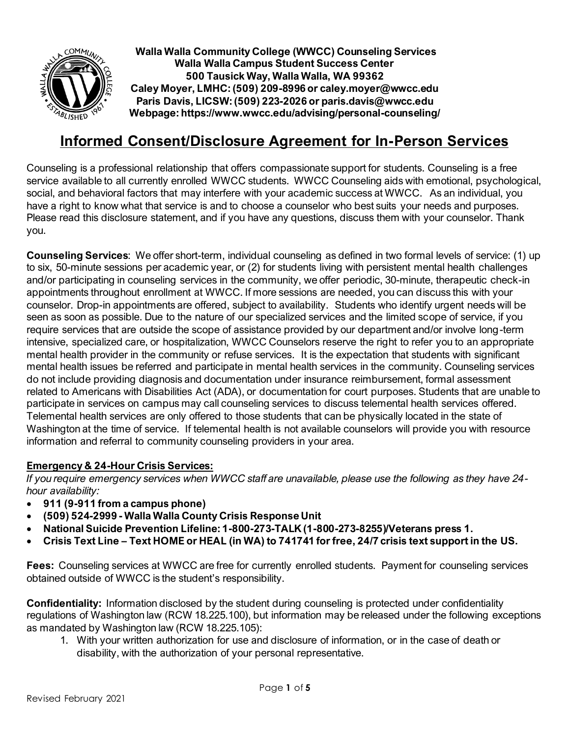

# **Informed Consent/Disclosure Agreement for In-Person Services**

Counseling is a professional relationship that offers compassionate support for students. Counseling is a free service available to all currently enrolled WWCC students. WWCC Counseling aids with emotional, psychological, social, and behavioral factors that may interfere with your academic success at WWCC. As an individual, you have a right to know what that service is and to choose a counselor who best suits your needs and purposes. Please read this disclosure statement, and if you have any questions, discuss them with your counselor. Thank you.

**Counseling Services**: We offer short-term, individual counseling as defined in two formal levels of service: (1) up to six, 50-minute sessions per academic year, or (2) for students living with persistent mental health challenges and/or participating in counseling services in the community, we offer periodic, 30-minute, therapeutic check-in appointments throughout enrollment at WWCC. If more sessions are needed, you can discuss this with your counselor. Drop-in appointments are offered, subject to availability. Students who identify urgent needs will be seen as soon as possible. Due to the nature of our specialized services and the limited scope of service, if you require services that are outside the scope of assistance provided by our department and/or involve long-term intensive, specialized care, or hospitalization, WWCC Counselors reserve the right to refer you to an appropriate mental health provider in the community or refuse services. It is the expectation that students with significant mental health issues be referred and participate in mental health services in the community. Counseling services do not include providing diagnosis and documentation under insurance reimbursement, formal assessment related to Americans with Disabilities Act (ADA), or documentation for court purposes. Students that are unable to participate in services on campus may call counseling services to discuss telemental health services offered. Telemental health services are only offered to those students that can be physically located in the state of Washington at the time of service. If telemental health is not available counselors will provide you with resource information and referral to community counseling providers in your area.

### **Emergency & 24-Hour Crisis Services:**

*If you require emergency services when WWCC staff are unavailable, please use the following as they have 24 hour availability:* 

- **911 (9-911 from a campus phone)**
- **(509) 524-2999 - Walla Walla County Crisis Response Unit**
- **National Suicide Prevention Lifeline: 1-800-273-TALK (1-800-273-8255)/Veterans press 1.**
- **Crisis Text Line – Text HOME or HEAL (in WA) to 741741 for free, 24/7 crisis text support in the US.**

**Fees:** Counseling services at WWCC are free for currently enrolled students. Payment for counseling services obtained outside of WWCC is the student's responsibility.

**Confidentiality:** Information disclosed by the student during counseling is protected under confidentiality regulations of Washington law (RCW 18.225.100), but information may be released under the following exceptions as mandated by Washington law (RCW 18.225.105):

1. With your written authorization for use and disclosure of information, or in the case of death or disability, with the authorization of your personal representative.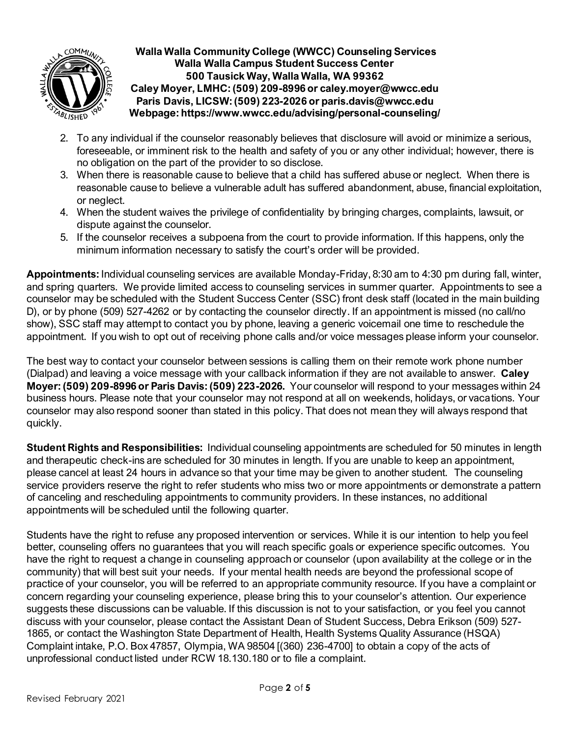

- 2. To any individual if the counselor reasonably believes that disclosure will avoid or minimize a serious, foreseeable, or imminent risk to the health and safety of you or any other individual; however, there is no obligation on the part of the provider to so disclose.
- 3. When there is reasonable cause to believe that a child has suffered abuse or neglect. When there is reasonable cause to believe a vulnerable adult has suffered abandonment, abuse, financial exploitation, or neglect.
- 4. When the student waives the privilege of confidentiality by bringing charges, complaints, lawsuit, or dispute against the counselor.
- 5. If the counselor receives a subpoena from the court to provide information. If this happens, only the minimum information necessary to satisfy the court's order will be provided.

**Appointments:** Individual counseling services are available Monday-Friday, 8:30 am to 4:30 pm during fall, winter, and spring quarters. We provide limited access to counseling services in summer quarter. Appointments to see a counselor may be scheduled with the Student Success Center (SSC) front desk staff (located in the main building D), or by phone (509) 527-4262 or by contacting the counselor directly. If an appointment is missed (no call/no show), SSC staff may attempt to contact you by phone, leaving a generic voicemail one time to reschedule the appointment. If you wish to opt out of receiving phone calls and/or voice messages please inform your counselor.

The best way to contact your counselor between sessions is calling them on their remote work phone number (Dialpad) and leaving a voice message with your callback information if they are not available to answer. **Caley Moyer: (509) 209-8996 or Paris Davis: (509) 223-2026.** Your counselor will respond to your messages within 24 business hours. Please note that your counselor may not respond at all on weekends, holidays, or vacations. Your counselor may also respond sooner than stated in this policy. That does not mean they will always respond that quickly.

**Student Rights and Responsibilities:** Individual counseling appointments are scheduled for 50 minutes in length and therapeutic check-ins are scheduled for 30 minutes in length. If you are unable to keep an appointment, please cancel at least 24 hours in advance so that your time may be given to another student.The counseling service providers reserve the right to refer students who miss two or more appointments or demonstrate a pattern of canceling and rescheduling appointments to community providers. In these instances, no additional appointments will be scheduled until the following quarter.

Students have the right to refuse any proposed intervention or services. While it is our intention to help you feel better, counseling offers no guarantees that you will reach specific goals or experience specific outcomes. You have the right to request a change in counseling approach or counselor (upon availability at the college or in the community) that will best suit your needs. If your mental health needs are beyond the professional scope of practice of your counselor, you will be referred to an appropriate community resource. If you have a complaint or concern regarding your counseling experience, please bring this to your counselor's attention. Our experience suggests these discussions can be valuable. If this discussion is not to your satisfaction, or you feel you cannot discuss with your counselor, please contact the Assistant Dean of Student Success, Debra Erikson (509) 527- 1865, or contact the Washington State Department of Health, Health Systems Quality Assurance (HSQA) Complaint intake, P.O. Box 47857, Olympia, WA 98504 [(360) 236-4700] to obtain a copy of the acts of unprofessional conduct listed under RCW 18.130.180 or to file a complaint.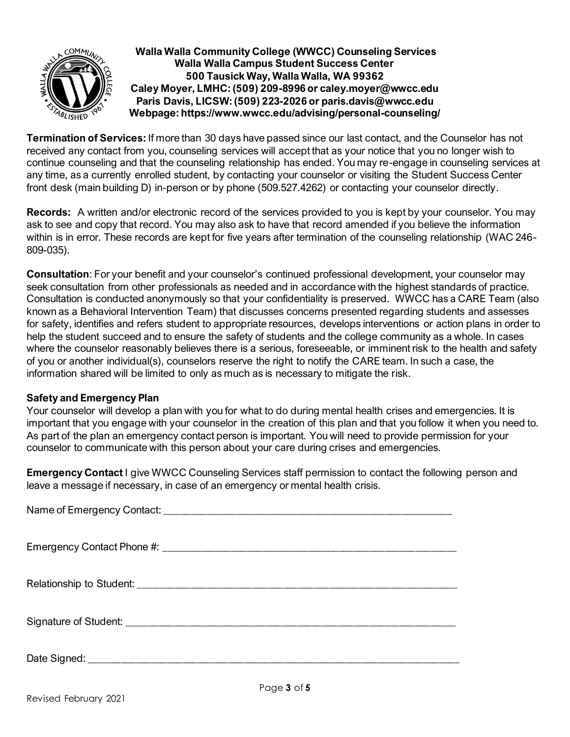

**Termination of Services:** If more than 30 days have passed since our last contact, and the Counselor has not received any contact from you, counseling services will accept that as your notice that you no longer wish to continue counseling and that the counseling relationship has ended. You may re-engage in counseling services at any time, as a currently enrolled student, by contacting your counselor or visiting the Student Success Center front desk (main building D) in-person or by phone (509.527.4262) or contacting your counselor directly.

**Records:** A written and/or electronic record of the services provided to you is kept by your counselor. You may ask to see and copy that record. You may also ask to have that record amended if you believe the information within is in error. These records are kept for five years after termination of the counseling relationship (WAC 246- 809-035).

**Consultation**: For your benefit and your counselor's continued professional development, your counselor may seek consultation from other professionals as needed and in accordance with the highest standards of practice. Consultation is conducted anonymously so that your confidentiality is preserved. WWCC has a CARE Team (also known as a Behavioral Intervention Team) that discusses concerns presented regarding students and assesses for safety, identifies and refers student to appropriate resources, develops interventions or action plans in order to help the student succeed and to ensure the safety of students and the college community as a whole. In cases where the counselor reasonably believes there is a serious, foreseeable, or imminent risk to the health and safety of you or another individual(s), counselors reserve the right to notify the CARE team. In such a case, the information shared will be limited to only as much as is necessary to mitigate the risk.

#### **Safety and Emergency Plan**

Your counselor will develop a plan with you for what to do during mental health crises and emergencies. It is important that you engage with your counselor in the creation of this plan and that you follow it when you need to. As part of the plan an emergency contact person is important. You will need to provide permission for your counselor to communicate with this person about your care during crises and emergencies.

**Emergency Contact** I give WWCC Counseling Services staff permission to contact the following person and leave a message if necessary, in case of an emergency or mental health crisis.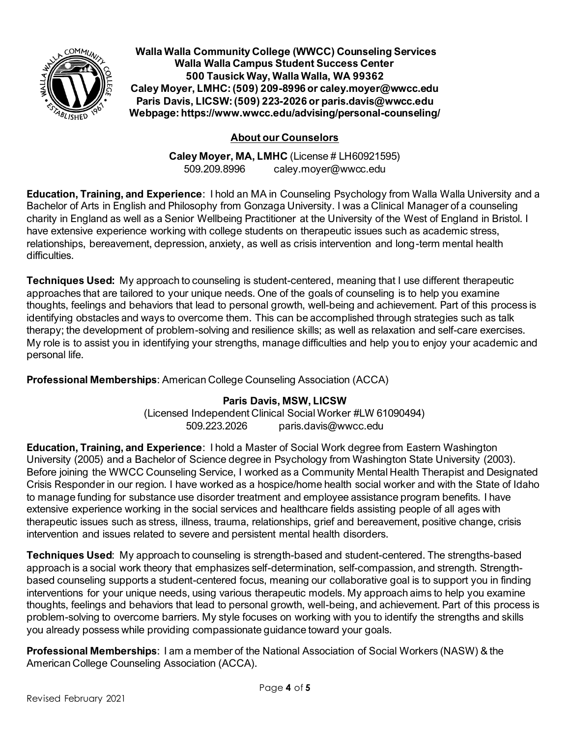

## **About our Counselors**

**Caley Moyer, MA, LMHC** (License # LH60921595) 509.209.8996 caley.moyer@wwcc.edu

**Education, Training, and Experience**: I hold an MA in Counseling Psychology from Walla Walla University and a Bachelor of Arts in English and Philosophy from Gonzaga University. I was a Clinical Manager of a counseling charity in England as well as a Senior Wellbeing Practitioner at the University of the West of England in Bristol. I have extensive experience working with college students on therapeutic issues such as academic stress, relationships, bereavement, depression, anxiety, as well as crisis intervention and long-term mental health difficulties.

**Techniques Used:** My approach to counseling is student-centered, meaning that I use different therapeutic approaches that are tailored to your unique needs. One of the goals of counseling is to help you examine thoughts, feelings and behaviors that lead to personal growth, well-being and achievement. Part of this process is identifying obstacles and ways to overcome them. This can be accomplished through strategies such as talk therapy; the development of problem-solving and resilience skills; as well as relaxation and self-care exercises. My role is to assist you in identifying your strengths, manage difficulties and help you to enjoy your academic and personal life.

**Professional Memberships**: American College Counseling Association (ACCA)

**Paris Davis, MSW, LICSW**

(Licensed Independent Clinical Social Worker #LW 61090494) 509.223.2026 paris.davis@wwcc.edu

**Education, Training, and Experience**: I hold a Master of Social Work degree from Eastern Washington University (2005) and a Bachelor of Science degree in Psychology from Washington State University (2003). Before joining the WWCC Counseling Service, I worked as a Community Mental Health Therapist and Designated Crisis Responder in our region. I have worked as a hospice/home health social worker and with the State of Idaho to manage funding for substance use disorder treatment and employee assistance program benefits. I have extensive experience working in the social services and healthcare fields assisting people of all ages with therapeutic issues such as stress, illness, trauma, relationships, grief and bereavement, positive change, crisis intervention and issues related to severe and persistent mental health disorders.

**Techniques Used**: My approach to counseling is strength-based and student-centered. The strengths-based approach is a social work theory that emphasizes self-determination, self-compassion, and strength. Strengthbased counseling supports a student-centered focus, meaning our collaborative goal is to support you in finding interventions for your unique needs, using various therapeutic models. My approach aims to help you examine thoughts, feelings and behaviors that lead to personal growth, well-being, and achievement. Part of this process is problem-solving to overcome barriers. My style focuses on working with you to identify the strengths and skills you already possess while providing compassionate guidance toward your goals.

**Professional Memberships**: I am a member of the National Association of Social Workers (NASW) & the American College Counseling Association (ACCA).